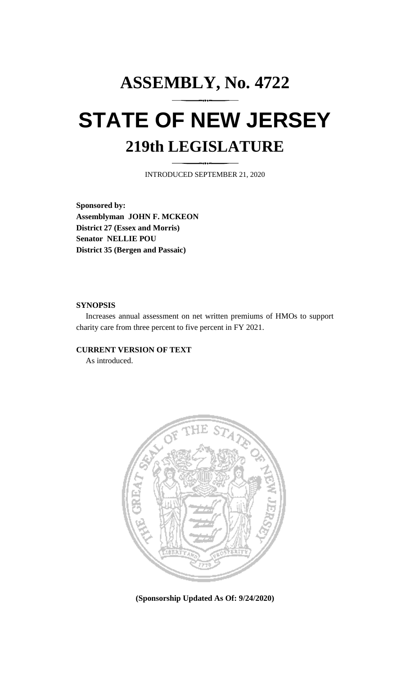## **ASSEMBLY, No. 4722 STATE OF NEW JERSEY 219th LEGISLATURE**

INTRODUCED SEPTEMBER 21, 2020

**Sponsored by: Assemblyman JOHN F. MCKEON District 27 (Essex and Morris) Senator NELLIE POU District 35 (Bergen and Passaic)**

## **SYNOPSIS**

Increases annual assessment on net written premiums of HMOs to support charity care from three percent to five percent in FY 2021.

## **CURRENT VERSION OF TEXT**

As introduced.



**(Sponsorship Updated As Of: 9/24/2020)**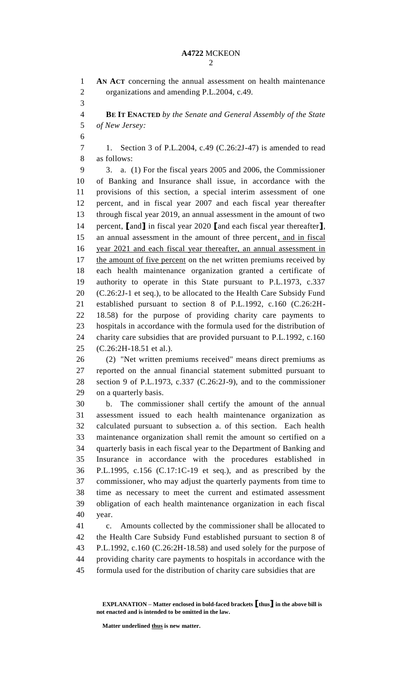**AN ACT** concerning the annual assessment on health maintenance organizations and amending P.L.2004, c.49. **BE IT ENACTED** *by the Senate and General Assembly of the State of New Jersey:* 1. Section 3 of P.L.2004, c.49 (C.26:2J-47) is amended to read as follows: 3. a. (1) For the fiscal years 2005 and 2006, the Commissioner of Banking and Insurance shall issue, in accordance with the provisions of this section, a special interim assessment of one percent, and in fiscal year 2007 and each fiscal year thereafter through fiscal year 2019, an annual assessment in the amount of two percent, **[**and**]** in fiscal year 2020 **[**and each fiscal year thereafter**]**, an annual assessment in the amount of three percent, and in fiscal year 2021 and each fiscal year thereafter, an annual assessment in 17 the amount of five percent on the net written premiums received by each health maintenance organization granted a certificate of authority to operate in this State pursuant to P.L.1973, c.337 (C.26:2J-1 et seq.), to be allocated to the Health Care Subsidy Fund established pursuant to section 8 of P.L.1992, c.160 (C.26:2H- 18.58) for the purpose of providing charity care payments to hospitals in accordance with the formula used for the distribution of charity care subsidies that are provided pursuant to P.L.1992, c.160 (C.26:2H-18.51 et al.). (2) "Net written premiums received" means direct premiums as reported on the annual financial statement submitted pursuant to section 9 of P.L.1973, c.337 (C.26:2J-9), and to the commissioner on a quarterly basis. b. The commissioner shall certify the amount of the annual assessment issued to each health maintenance organization as calculated pursuant to subsection a. of this section. Each health maintenance organization shall remit the amount so certified on a quarterly basis in each fiscal year to the Department of Banking and Insurance in accordance with the procedures established in P.L.1995, c.156 (C.17:1C-19 et seq.), and as prescribed by the commissioner, who may adjust the quarterly payments from time to time as necessary to meet the current and estimated assessment obligation of each health maintenance organization in each fiscal year. c. Amounts collected by the commissioner shall be allocated to the Health Care Subsidy Fund established pursuant to section 8 of P.L.1992, c.160 (C.26:2H-18.58) and used solely for the purpose of providing charity care payments to hospitals in accordance with the

formula used for the distribution of charity care subsidies that are

**Matter underlined thus is new matter.**

**EXPLANATION – Matter enclosed in bold-faced brackets [thus] in the above bill is not enacted and is intended to be omitted in the law.**